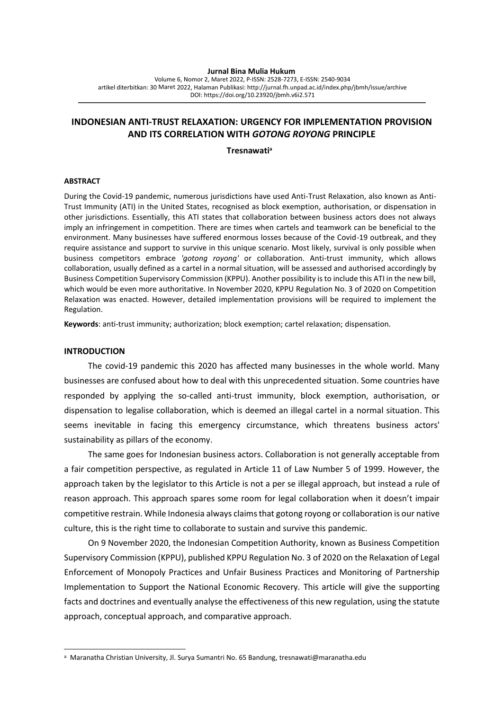#### **Jurnal Bina Mulia Hukum**

Volume 6, Nomor 2, Maret 2022, P-ISSN: 2528-7273, E-ISSN: 2540-9034 artikel diterbitkan: 30 Maret 2022, Halaman Publi[kasi: http://jurnal.fh.unpad.ac.id/index.php/jbmh/issue/](http://jurnal.fh.unpad.ac.id/index.php/)archive DOI: https://doi.org/10.23920/jbmh.v6i2.571

# **INDONESIAN ANTI-TRUST RELAXATION: URGENCY FOR IMPLEMENTATION PROVISION AND ITS CORRELATION WITH** *GOTONG ROYONG* **PRINCIPLE**

**Tresnawati<sup>a</sup>**

#### **ABSTRACT**

During the Covid-19 pandemic, numerous jurisdictions have used Anti-Trust Relaxation, also known as Anti-Trust Immunity (ATI) in the United States, recognised as block exemption, authorisation, or dispensation in other jurisdictions. Essentially, this ATI states that collaboration between business actors does not always imply an infringement in competition. There are times when cartels and teamwork can be beneficial to the environment. Many businesses have suffered enormous losses because of the Covid-19 outbreak, and they require assistance and support to survive in this unique scenario. Most likely, survival is only possible when business competitors embrace *'gotong royong'* or collaboration. Anti-trust immunity, which allows collaboration, usually defined as a cartel in a normal situation, will be assessed and authorised accordingly by Business Competition Supervisory Commission (KPPU). Another possibility is to include this ATI in the new bill, which would be even more authoritative. In November 2020, KPPU Regulation No. 3 of 2020 on Competition Relaxation was enacted. However, detailed implementation provisions will be required to implement the Regulation.

**Keywords**: anti-trust immunity; authorization; block exemption; cartel relaxation; dispensation*.*

#### **INTRODUCTION**

The covid-19 pandemic this 2020 has affected many businesses in the whole world. Many businesses are confused about how to deal with this unprecedented situation. Some countries have responded by applying the so-called anti-trust immunity, block exemption, authorisation, or dispensation to legalise collaboration, which is deemed an illegal cartel in a normal situation. This seems inevitable in facing this emergency circumstance, which threatens business actors' sustainability as pillars of the economy.

The same goes for Indonesian business actors. Collaboration is not generally acceptable from a fair competition perspective, as regulated in Article 11 of Law Number 5 of 1999. However, the approach taken by the legislator to this Article is not a per se illegal approach, but instead a rule of reason approach. This approach spares some room for legal collaboration when it doesn't impair competitive restrain. While Indonesia always claims that gotong royong or collaboration is our native culture, this is the right time to collaborate to sustain and survive this pandemic.

On 9 November 2020, the Indonesian Competition Authority, known as Business Competition Supervisory Commission (KPPU), published KPPU Regulation No. 3 of 2020 on the Relaxation of Legal Enforcement of Monopoly Practices and Unfair Business Practices and Monitoring of Partnership Implementation to Support the National Economic Recovery*.* This article will give the supporting facts and doctrines and eventually analyse the effectiveness of this new regulation, using the statute approach, conceptual approach, and comparative approach.

a Maranatha Christian University, Jl. Surya Sumantri No. 65 Bandung, tresnawati@maranatha.edu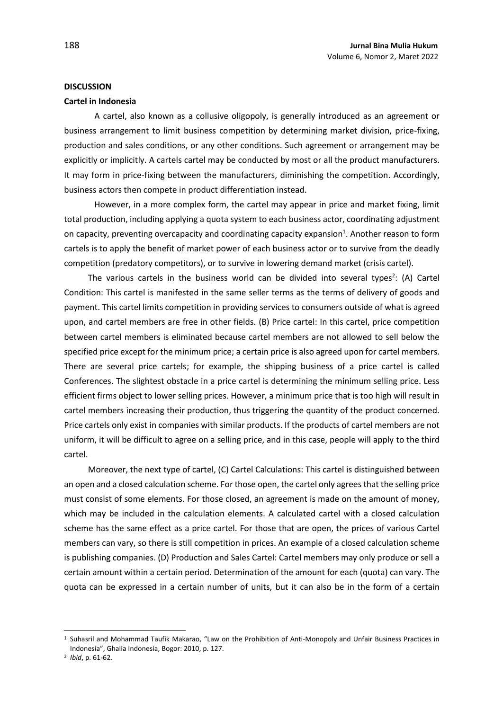#### **DISCUSSION**

#### **Cartel in Indonesia**

A cartel, also known as a collusive oligopoly, is generally introduced as an agreement or business arrangement to limit business competition by determining market division, price-fixing, production and sales conditions, or any other conditions. Such agreement or arrangement may be explicitly or implicitly. A cartels cartel may be conducted by most or all the product manufacturers. It may form in price-fixing between the manufacturers, diminishing the competition. Accordingly, business actors then compete in product differentiation instead.

However, in a more complex form, the cartel may appear in price and market fixing, limit total production, including applying a quota system to each business actor, coordinating adjustment on capacity, preventing overcapacity and coordinating capacity expansion<sup>1</sup>. Another reason to form cartels is to apply the benefit of market power of each business actor or to survive from the deadly competition (predatory competitors), or to survive in lowering demand market (crisis cartel).

The various cartels in the business world can be divided into several types<sup>2</sup>: (A) Cartel Condition: This cartel is manifested in the same seller terms as the terms of delivery of goods and payment. This cartel limits competition in providing services to consumers outside of what is agreed upon, and cartel members are free in other fields. (B) Price cartel: In this cartel, price competition between cartel members is eliminated because cartel members are not allowed to sell below the specified price except for the minimum price; a certain price is also agreed upon for cartel members. There are several price cartels; for example, the shipping business of a price cartel is called Conferences. The slightest obstacle in a price cartel is determining the minimum selling price. Less efficient firms object to lower selling prices. However, a minimum price that is too high will result in cartel members increasing their production, thus triggering the quantity of the product concerned. Price cartels only exist in companies with similar products. If the products of cartel members are not uniform, it will be difficult to agree on a selling price, and in this case, people will apply to the third cartel.

Moreover, the next type of cartel, (C) Cartel Calculations: This cartel is distinguished between an open and a closed calculation scheme. For those open, the cartel only agrees that the selling price must consist of some elements. For those closed, an agreement is made on the amount of money, which may be included in the calculation elements. A calculated cartel with a closed calculation scheme has the same effect as a price cartel. For those that are open, the prices of various Cartel members can vary, so there is still competition in prices. An example of a closed calculation scheme is publishing companies. (D) Production and Sales Cartel: Cartel members may only produce or sell a certain amount within a certain period. Determination of the amount for each (quota) can vary. The quota can be expressed in a certain number of units, but it can also be in the form of a certain

<sup>1</sup> Suhasril and Mohammad Taufik Makarao, "Law on the Prohibition of Anti-Monopoly and Unfair Business Practices in Indonesia", Ghalia Indonesia, Bogor: 2010, p. 127.

<sup>2</sup> *Ibid*, p. 61-62.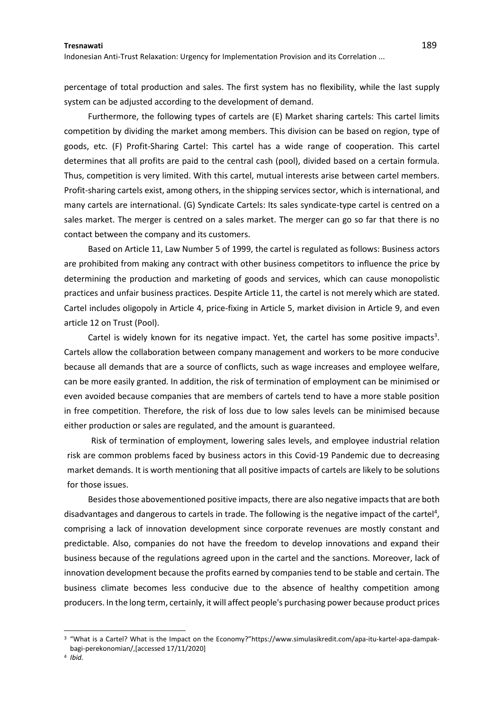Indonesian Anti-Trust Relaxation: Urgency for Implementation Provision and its Correlation ...

percentage of total production and sales. The first system has no flexibility, while the last supply system can be adjusted according to the development of demand.

Furthermore, the following types of cartels are (E) Market sharing cartels: This cartel limits competition by dividing the market among members. This division can be based on region, type of goods, etc. (F) Profit-Sharing Cartel: This cartel has a wide range of cooperation. This cartel determines that all profits are paid to the central cash (pool), divided based on a certain formula. Thus, competition is very limited. With this cartel, mutual interests arise between cartel members. Profit-sharing cartels exist, among others, in the shipping services sector, which is international, and many cartels are international. (G) Syndicate Cartels: Its sales syndicate-type cartel is centred on a sales market. The merger is centred on a sales market. The merger can go so far that there is no contact between the company and its customers.

Based on Article 11, Law Number 5 of 1999, the cartel is regulated as follows: Business actors are prohibited from making any contract with other business competitors to influence the price by determining the production and marketing of goods and services, which can cause monopolistic practices and unfair business practices. Despite Article 11, the cartel is not merely which are stated. Cartel includes oligopoly in Article 4, price-fixing in Article 5, market division in Article 9, and even article 12 on Trust (Pool).

Cartel is widely known for its negative impact. Yet, the cartel has some positive impacts<sup>3</sup>. Cartels allow the collaboration between company management and workers to be more conducive because all demands that are a source of conflicts, such as wage increases and employee welfare, can be more easily granted. In addition, the risk of termination of employment can be minimised or even avoided because companies that are members of cartels tend to have a more stable position in free competition. Therefore, the risk of loss due to low sales levels can be minimised because either production or sales are regulated, and the amount is guaranteed.

Risk of termination of employment, lowering sales levels, and employee industrial relation risk are common problems faced by business actors in this Covid-19 Pandemic due to decreasing market demands. It is worth mentioning that all positive impacts of cartels are likely to be solutions for those issues.

Besides those abovementioned positive impacts, there are also negative impacts that are both disadvantages and dangerous to cartels in trade. The following is the negative impact of the cartel<sup>4</sup>, comprising a lack of innovation development since corporate revenues are mostly constant and predictable. Also, companies do not have the freedom to develop innovations and expand their business because of the regulations agreed upon in the cartel and the sanctions. Moreover, lack of innovation development because the profits earned by companies tend to be stable and certain. The business climate becomes less conducive due to the absence of healthy competition among producers. In the long term, certainly, it will affect people's purchasing power because product prices

<sup>3</sup> "What is a Cartel? What is the Impact on the Economy?"[https://www.simulasikredit.com/apa-itu-kartel-apa-dampak](https://www.simulasikredit.com/apa-itu-kartel-apa-dampak-bagi-perekonomian/)[bagi-perekonomian/,](https://www.simulasikredit.com/apa-itu-kartel-apa-dampak-bagi-perekonomian/)[accessed 17/11/2020]

<sup>4</sup> *Ibid.*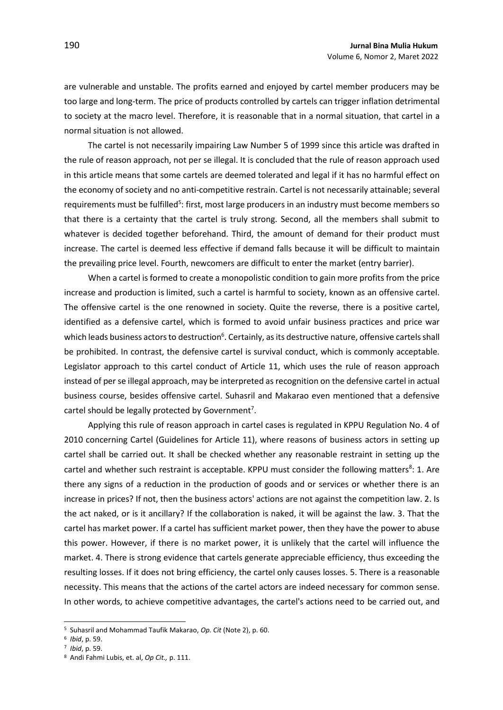are vulnerable and unstable. The profits earned and enjoyed by cartel member producers may be too large and long-term. The price of products controlled by cartels can trigger inflation detrimental to society at the macro level. Therefore, it is reasonable that in a normal situation, that cartel in a normal situation is not allowed.

The cartel is not necessarily impairing Law Number 5 of 1999 since this article was drafted in the rule of reason approach, not per se illegal. It is concluded that the rule of reason approach used in this article means that some cartels are deemed tolerated and legal if it has no harmful effect on the economy of society and no anti-competitive restrain. Cartel is not necessarily attainable; several requirements must be fulfilled<sup>5</sup>: first, most large producers in an industry must become members so that there is a certainty that the cartel is truly strong. Second, all the members shall submit to whatever is decided together beforehand. Third, the amount of demand for their product must increase. The cartel is deemed less effective if demand falls because it will be difficult to maintain the prevailing price level. Fourth, newcomers are difficult to enter the market (entry barrier).

When a cartel is formed to create a monopolistic condition to gain more profits from the price increase and production is limited, such a cartel is harmful to society, known as an offensive cartel. The offensive cartel is the one renowned in society. Quite the reverse, there is a positive cartel, identified as a defensive cartel, which is formed to avoid unfair business practices and price war which leads business actors to destruction<sup>6</sup>. Certainly, as its destructive nature, offensive cartels shall be prohibited. In contrast, the defensive cartel is survival conduct, which is commonly acceptable. Legislator approach to this cartel conduct of Article 11, which uses the rule of reason approach instead of per se illegal approach, may be interpreted as recognition on the defensive cartel in actual business course, besides offensive cartel. Suhasril and Makarao even mentioned that a defensive cartel should be legally protected by Government<sup>7</sup>.

Applying this rule of reason approach in cartel cases is regulated in KPPU Regulation No. 4 of 2010 concerning Cartel (Guidelines for Article 11), where reasons of business actors in setting up cartel shall be carried out. It shall be checked whether any reasonable restraint in setting up the cartel and whether such restraint is acceptable. KPPU must consider the following matters<sup>8</sup>: 1. Are there any signs of a reduction in the production of goods and or services or whether there is an increase in prices? If not, then the business actors' actions are not against the competition law. 2. Is the act naked, or is it ancillary? If the collaboration is naked, it will be against the law. 3. That the cartel has market power. If a cartel has sufficient market power, then they have the power to abuse this power. However, if there is no market power, it is unlikely that the cartel will influence the market. 4. There is strong evidence that cartels generate appreciable efficiency, thus exceeding the resulting losses. If it does not bring efficiency, the cartel only causes losses. 5. There is a reasonable necessity. This means that the actions of the cartel actors are indeed necessary for common sense. In other words, to achieve competitive advantages, the cartel's actions need to be carried out, and

<sup>5</sup> Suhasril and Mohammad Taufik Makarao, *Op. Cit* (Note 2), p. 60.

<sup>6</sup> *Ibid*, p. 59.

<sup>7</sup> *Ibid*, p. 59.

<sup>8</sup> Andi Fahmi Lubis, et. al, *Op Cit.,* p. 111.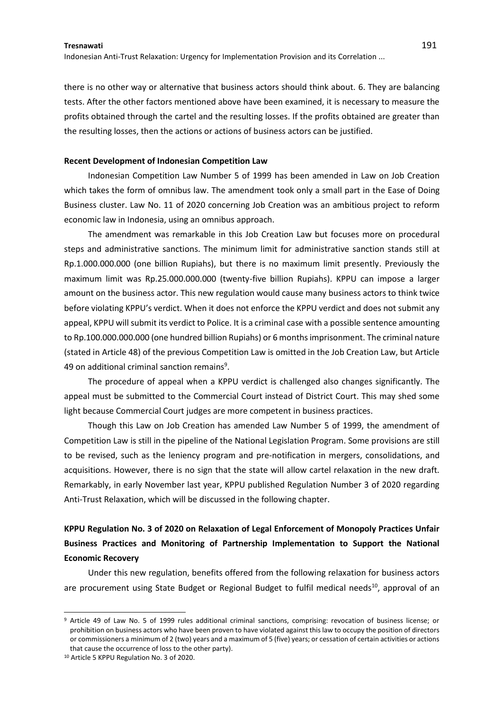Indonesian Anti-Trust Relaxation: Urgency for Implementation Provision and its Correlation ...

there is no other way or alternative that business actors should think about. 6. They are balancing tests. After the other factors mentioned above have been examined, it is necessary to measure the profits obtained through the cartel and the resulting losses. If the profits obtained are greater than the resulting losses, then the actions or actions of business actors can be justified.

#### **Recent Development of Indonesian Competition Law**

Indonesian Competition Law Number 5 of 1999 has been amended in Law on Job Creation which takes the form of omnibus law. The amendment took only a small part in the Ease of Doing Business cluster. Law No. 11 of 2020 concerning Job Creation was an ambitious project to reform economic law in Indonesia, using an omnibus approach.

The amendment was remarkable in this Job Creation Law but focuses more on procedural steps and administrative sanctions. The minimum limit for administrative sanction stands still at Rp.1.000.000.000 (one billion Rupiahs), but there is no maximum limit presently. Previously the maximum limit was Rp.25.000.000.000 (twenty-five billion Rupiahs). KPPU can impose a larger amount on the business actor. This new regulation would cause many business actors to think twice before violating KPPU's verdict. When it does not enforce the KPPU verdict and does not submit any appeal, KPPU will submit its verdict to Police. It is a criminal case with a possible sentence amounting to Rp.100.000.000.000 (one hundred billion Rupiahs) or 6 months imprisonment. The criminal nature (stated in Article 48) of the previous Competition Law is omitted in the Job Creation Law, but Article 49 on additional criminal sanction remains<sup>9</sup>.

The procedure of appeal when a KPPU verdict is challenged also changes significantly. The appeal must be submitted to the Commercial Court instead of District Court. This may shed some light because Commercial Court judges are more competent in business practices.

Though this Law on Job Creation has amended Law Number 5 of 1999, the amendment of Competition Law is still in the pipeline of the National Legislation Program. Some provisions are still to be revised, such as the leniency program and pre-notification in mergers, consolidations, and acquisitions. However, there is no sign that the state will allow cartel relaxation in the new draft. Remarkably, in early November last year, KPPU published Regulation Number 3 of 2020 regarding Anti-Trust Relaxation, which will be discussed in the following chapter.

**KPPU Regulation No. 3 of 2020 on Relaxation of Legal Enforcement of Monopoly Practices Unfair Business Practices and Monitoring of Partnership Implementation to Support the National Economic Recovery**

Under this new regulation, benefits offered from the following relaxation for business actors are procurement using State Budget or Regional Budget to fulfil medical needs<sup>10</sup>, approval of an

<sup>9</sup> Article 49 of Law No. 5 of 1999 rules additional criminal sanctions, comprising: revocation of business license; or prohibition on business actors who have been proven to have violated against this law to occupy the position of directors or commissioners a minimum of 2 (two) years and a maximum of 5 (five) years; or cessation of certain activities or actions that cause the occurrence of loss to the other party).

<sup>10</sup> Article 5 KPPU Regulation No. 3 of 2020.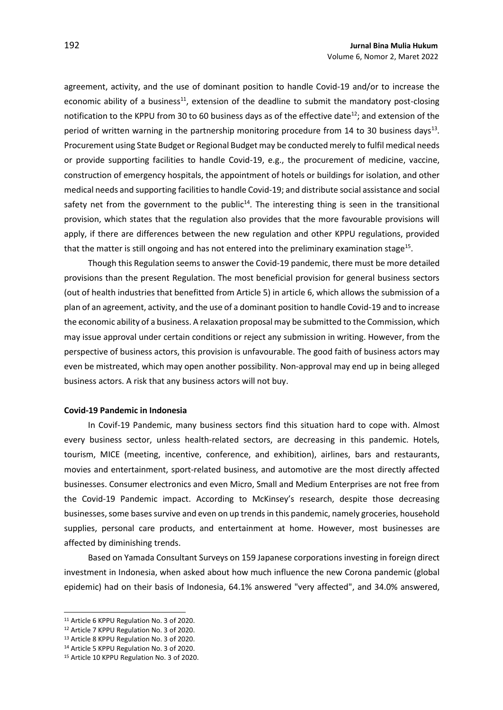agreement, activity, and the use of dominant position to handle Covid-19 and/or to increase the economic ability of a business<sup>11</sup>, extension of the deadline to submit the mandatory post-closing notification to the KPPU from 30 to 60 business days as of the effective date<sup>12</sup>; and extension of the period of written warning in the partnership monitoring procedure from 14 to 30 business days<sup>13</sup>. Procurement using State Budget or Regional Budget may be conducted merely to fulfil medical needs or provide supporting facilities to handle Covid-19, e.g., the procurement of medicine, vaccine, construction of emergency hospitals, the appointment of hotels or buildings for isolation, and other medical needs and supporting facilities to handle Covid-19; and distribute social assistance and social safety net from the government to the public<sup>14</sup>. The interesting thing is seen in the transitional provision, which states that the regulation also provides that the more favourable provisions will apply, if there are differences between the new regulation and other KPPU regulations, provided that the matter is still ongoing and has not entered into the preliminary examination stage<sup>15</sup>.

Though this Regulation seems to answer the Covid-19 pandemic, there must be more detailed provisions than the present Regulation. The most beneficial provision for general business sectors (out of health industries that benefitted from Article 5) in article 6, which allows the submission of a plan of an agreement, activity, and the use of a dominant position to handle Covid-19 and to increase the economic ability of a business. A relaxation proposal may be submitted to the Commission, which may issue approval under certain conditions or reject any submission in writing. However, from the perspective of business actors, this provision is unfavourable. The good faith of business actors may even be mistreated, which may open another possibility. Non-approval may end up in being alleged business actors. A risk that any business actors will not buy.

### **Covid-19 Pandemic in Indonesia**

In Covif-19 Pandemic, many business sectors find this situation hard to cope with. Almost every business sector, unless health-related sectors, are decreasing in this pandemic. Hotels, tourism, MICE (meeting, incentive, conference, and exhibition), airlines, bars and restaurants, movies and entertainment, sport-related business, and automotive are the most directly affected businesses. Consumer electronics and even Micro, Small and Medium Enterprises are not free from the Covid-19 Pandemic impact. According to McKinsey's research, despite those decreasing businesses, some bases survive and even on up trends in this pandemic, namely groceries, household supplies, personal care products, and entertainment at home. However, most businesses are affected by diminishing trends.

Based on Yamada Consultant Surveys on 159 Japanese corporations investing in foreign direct investment in Indonesia, when asked about how much influence the new Corona pandemic (global epidemic) had on their basis of Indonesia, 64.1% answered "very affected", and 34.0% answered,

<sup>11</sup> Article 6 KPPU Regulation No. 3 of 2020.

<sup>12</sup> Article 7 KPPU Regulation No. 3 of 2020.

<sup>13</sup> Article 8 KPPU Regulation No. 3 of 2020.

<sup>14</sup> Article 5 KPPU Regulation No. 3 of 2020.

<sup>15</sup> Article 10 KPPU Regulation No. 3 of 2020.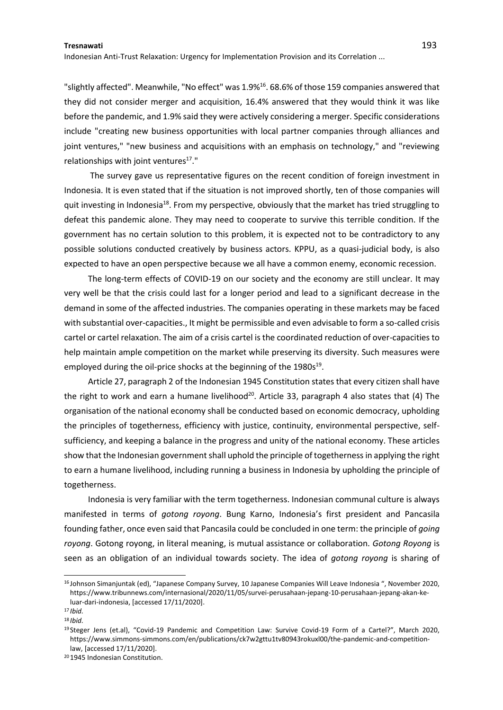Indonesian Anti-Trust Relaxation: Urgency for Implementation Provision and its Correlation ...

"slightly affected". Meanwhile, "No effect" was 1.9%<sup>16</sup>. 68.6% of those 159 companies answered that they did not consider merger and acquisition, 16.4% answered that they would think it was like before the pandemic, and 1.9% said they were actively considering a merger. Specific considerations include "creating new business opportunities with local partner companies through alliances and joint ventures," "new business and acquisitions with an emphasis on technology," and "reviewing relationships with joint ventures<sup>17</sup>."

The survey gave us representative figures on the recent condition of foreign investment in Indonesia. It is even stated that if the situation is not improved shortly, ten of those companies will quit investing in Indonesia<sup>18</sup>. From my perspective, obviously that the market has tried struggling to defeat this pandemic alone. They may need to cooperate to survive this terrible condition. If the government has no certain solution to this problem, it is expected not to be contradictory to any possible solutions conducted creatively by business actors. KPPU, as a quasi-judicial body, is also expected to have an open perspective because we all have a common enemy, economic recession.

The long-term effects of COVID-19 on our society and the economy are still unclear. It may very well be that the crisis could last for a longer period and lead to a significant decrease in the demand in some of the affected industries. The companies operating in these markets may be faced with substantial over-capacities., It might be permissible and even advisable to form a so-called crisis cartel or cartel relaxation. The aim of a crisis cartel is the coordinated reduction of over-capacities to help maintain ample competition on the market while preserving its diversity. Such measures were employed during the oil-price shocks at the beginning of the 1980s<sup>19</sup>.

Article 27, paragraph 2 of the Indonesian 1945 Constitution states that every citizen shall have the right to work and earn a humane livelihood<sup>20</sup>. Article 33, paragraph 4 also states that (4) The organisation of the national economy shall be conducted based on economic democracy, upholding the principles of togetherness, efficiency with justice, continuity, environmental perspective, selfsufficiency, and keeping a balance in the progress and unity of the national economy. These articles show that the Indonesian government shall uphold the principle of togetherness in applying the right to earn a humane livelihood, including running a business in Indonesia by upholding the principle of togetherness.

Indonesia is very familiar with the term togetherness. Indonesian communal culture is always manifested in terms of *gotong royong*. Bung Karno, Indonesia's first president and Pancasila founding father, once even said that Pancasila could be concluded in one term: the principle of *going royong*. Gotong royong, in literal meaning, is mutual assistance or collaboration. *Gotong Royong* is seen as an obligation of an individual towards society. The idea of *gotong royong* is sharing of

<sup>16</sup> Johnson Simanjuntak (ed), "Japanese Company Survey, 10 Japanese Companies Will Leave Indonesia ", November 2020, [https://www.tribunnews.com/internasional/2020/11/05/survei-perusahaan-jepang-10-perusahaan-jepang-akan-ke](https://www.tribunnews.com/internasional/2020/11/05/survei-perusahaan-jepang-10-perusahaan-jepang-akan-ke-luar-dari-indonesia)[luar-dari-indonesia,](https://www.tribunnews.com/internasional/2020/11/05/survei-perusahaan-jepang-10-perusahaan-jepang-akan-ke-luar-dari-indonesia) [accessed 17/11/2020].

<sup>17</sup> *Ibid.*

<sup>18</sup> *Ibid.*

<sup>19</sup> Steger Jens (et.al), "Covid-19 Pandemic and Competition Law: Survive Covid-19 Form of a Cartel?", March 2020, [https://www.simmons-simmons.com/en/publications/ck7w2gttu1tv80943rokuxl00/the-pandemic-and-competition](https://www.simmons-simmons.com/en/publications/ck7w2gttu1tv80943rokuxl00/the-pandemic-and-competition-law)[law,](https://www.simmons-simmons.com/en/publications/ck7w2gttu1tv80943rokuxl00/the-pandemic-and-competition-law) [accessed 17/11/2020].

<sup>20</sup> 1945 Indonesian Constitution.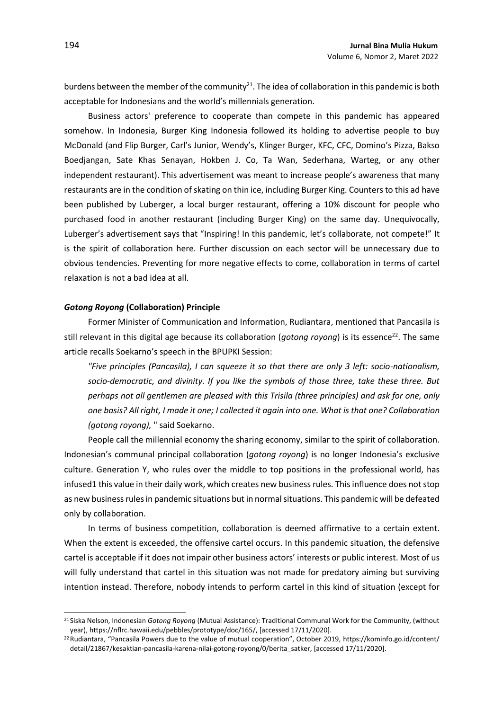burdens between the member of the community<sup>21</sup>. The idea of collaboration in this pandemic is both acceptable for Indonesians and the world's millennials generation.

Business actors' preference to cooperate than compete in this pandemic has appeared somehow. In Indonesia, Burger King Indonesia followed its holding to advertise people to buy McDonald (and Flip Burger, Carl's Junior, Wendy's, Klinger Burger, KFC, CFC, Domino's Pizza, Bakso Boedjangan, Sate Khas Senayan, Hokben J. Co, Ta Wan, Sederhana, Warteg, or any other independent restaurant). This advertisement was meant to increase people's awareness that many restaurants are in the condition of skating on thin ice, including Burger King. Counters to this ad have been published by Luberger, a local burger restaurant, offering a 10% discount for people who purchased food in another restaurant (including Burger King) on the same day. Unequivocally, Luberger's advertisement says that "Inspiring! In this pandemic, let's collaborate, not compete!" It is the spirit of collaboration here. Further discussion on each sector will be unnecessary due to obvious tendencies. Preventing for more negative effects to come, collaboration in terms of cartel relaxation is not a bad idea at all.

#### *Gotong Royong* **(Collaboration) Principle**

Former Minister of Communication and Information, Rudiantara, mentioned that Pancasila is still relevant in this digital age because its collaboration (*gotong royong*) is its essence<sup>22</sup>. The same article recalls Soekarno's speech in the BPUPKI Session:

*"Five principles (Pancasila), I can squeeze it so that there are only 3 left: socio-nationalism, socio-democratic, and divinity. If you like the symbols of those three, take these three. But perhaps not all gentlemen are pleased with this Trisila (three principles) and ask for one, only one basis? All right, I made it one; I collected it again into one. What is that one? Collaboration (gotong royong),* " said Soekarno.

People call the millennial economy the sharing economy, similar to the spirit of collaboration. Indonesian's communal principal collaboration (*gotong royong*) is no longer Indonesia's exclusive culture. Generation Y, who rules over the middle to top positions in the professional world, has infused1 this value in their daily work, which creates new business rules. This influence does not stop as new business rules in pandemic situations but in normal situations. This pandemic will be defeated only by collaboration.

In terms of business competition, collaboration is deemed affirmative to a certain extent. When the extent is exceeded, the offensive cartel occurs. In this pandemic situation, the defensive cartel is acceptable if it does not impair other business actors' interests or public interest. Most of us will fully understand that cartel in this situation was not made for predatory aiming but surviving intention instead. Therefore, nobody intends to perform cartel in this kind of situation (except for

<sup>21</sup> Siska Nelson, Indonesian *Gotong Royong* (Mutual Assistance): Traditional Communal Work for the Community, (without year), [https://nflrc.hawaii.edu/pebbles/prototype/doc/165/,](https://nflrc.hawaii.edu/pebbles/prototype/doc/165/) [accessed 17/11/2020].

<sup>22</sup>Rudiantara, "Pancasila Powers due to the value of mutual cooperation", October 2019, [https://kominfo.go.id/content/](https://kominfo.go.id/content/detail/21867/kesaktian-pancasila-karena-nilai-gotong-royong/0/berita_satker) [detail/21867/kesaktian-pancasila-karena-nilai-gotong-royong/0/berita\\_satker,](https://kominfo.go.id/content/detail/21867/kesaktian-pancasila-karena-nilai-gotong-royong/0/berita_satker) [accessed 17/11/2020].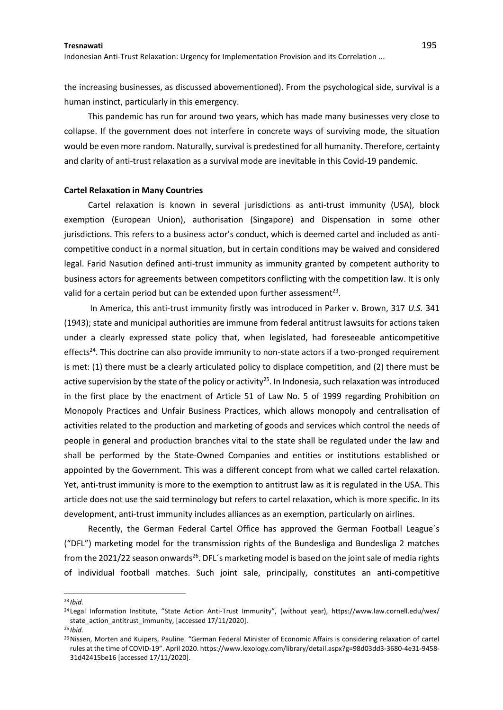Indonesian Anti-Trust Relaxation: Urgency for Implementation Provision and its Correlation ...

the increasing businesses, as discussed abovementioned). From the psychological side, survival is a human instinct, particularly in this emergency.

This pandemic has run for around two years, which has made many businesses very close to collapse. If the government does not interfere in concrete ways of surviving mode, the situation would be even more random. Naturally, survival is predestined for all humanity. Therefore, certainty and clarity of anti-trust relaxation as a survival mode are inevitable in this Covid-19 pandemic.

#### **Cartel Relaxation in Many Countries**

Cartel relaxation is known in several jurisdictions as anti-trust immunity (USA), block exemption (European Union), authorisation (Singapore) and Dispensation in some other jurisdictions. This refers to a business actor's conduct, which is deemed cartel and included as anticompetitive conduct in a normal situation, but in certain conditions may be waived and considered legal. Farid Nasution defined anti-trust immunity as immunity granted by competent authority to business actors for agreements between competitors conflicting with the competition law. It is only valid for a certain period but can be extended upon further assessment<sup>23</sup>.

In America, this anti-trust immunity firstly was introduced in Parker v. Brown, 317 *U.S.* 341 (1943); state and municipal authorities are immune from federal antitrust lawsuits for actions taken under a clearly expressed state policy that, when legislated, had foreseeable anticompetitive effects<sup>24</sup>. This doctrine can also provide immunity to non-state actors if a two-pronged requirement is met: (1) there must be a clearly articulated policy to displace competition, and (2) there must be active supervision by the state of the policy or activity<sup>25</sup>. In Indonesia, such relaxation was introduced in the first place by the enactment of Article 51 of Law No. 5 of 1999 regarding Prohibition on Monopoly Practices and Unfair Business Practices, which allows monopoly and centralisation of activities related to the production and marketing of goods and services which control the needs of people in general and production branches vital to the state shall be regulated under the law and shall be performed by the State-Owned Companies and entities or institutions established or appointed by the Government. This was a different concept from what we called cartel relaxation. Yet, anti-trust immunity is more to the exemption to antitrust law as it is regulated in the USA. This article does not use the said terminology but refers to cartel relaxation, which is more specific. In its development, anti-trust immunity includes alliances as an exemption, particularly on airlines.

Recently, the German Federal Cartel Office has approved the German Football League´s ("DFL") marketing model for the transmission rights of the Bundesliga and Bundesliga 2 matches from the 2021/22 season onwards<sup>26</sup>. DFL's marketing model is based on the joint sale of media rights of individual football matches. Such joint sale, principally, constitutes an anti-competitive

<sup>23</sup> *Ibid.*

<sup>24</sup> Legal Information Institute, "State Action Anti-Trust Immunity", (without year), [https://www.law.cornell.edu/wex/](https://www.law.cornell.edu/wex/state_action_antitrust_immunity) [state\\_action\\_antitrust\\_immunity,](https://www.law.cornell.edu/wex/state_action_antitrust_immunity) [accessed 17/11/2020].

<sup>25</sup> *Ibid.*

<sup>&</sup>lt;sup>26</sup> Nissen, Morten and Kuipers, Pauline. "German Federal Minister of Economic Affairs is considering relaxation of cartel rules at the time of COVID-19". April 2020. [https://www.lexology.com/library/detail.aspx?g=98d03dd3-3680-4e31-9458-](https://www.lexology.com/library/detail.aspx?g=98d03dd3-3680-4e31-9458-31d42415be16) [31d42415be16](https://www.lexology.com/library/detail.aspx?g=98d03dd3-3680-4e31-9458-31d42415be16) [accessed 17/11/2020].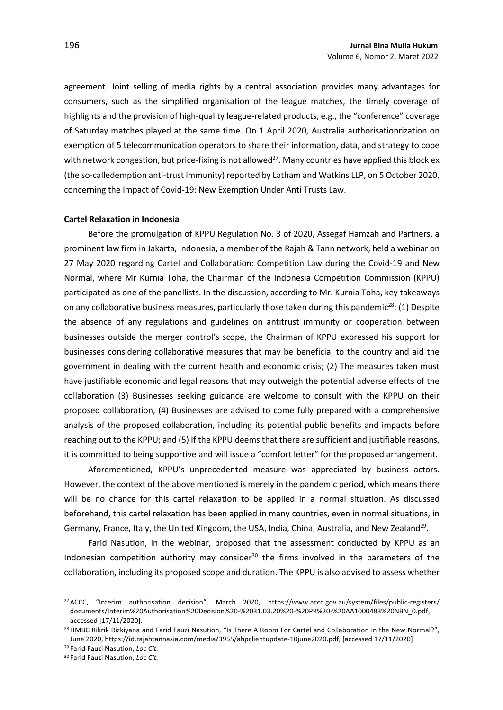agreement. Joint selling of media rights by a central association provides many advantages for consumers, such as the simplified organisation of the league matches, the timely coverage of highlights and the provision of high-quality league-related products, e.g., the "conference" coverage of Saturday matches played at the same time. On 1 April 2020, Australia authorisationrization on exemption of 5 telecommunication operators to share their information, data, and strategy to cope with network congestion, but price-fixing is not allowed<sup>27</sup>. Many countries have applied this block ex (the so-calledemption anti-trust immunity) reported by Latham and Watkins LLP, on 5 October 2020, concerning the Impact of Covid-19: New Exemption Under Anti Trusts Law.

### **Cartel Relaxation in Indonesia**

Before the promulgation of KPPU Regulation No. 3 of 2020, Assegaf Hamzah and Partners, a prominent law firm in Jakarta, Indonesia, a member of the Rajah & Tann network, held a webinar on 27 May 2020 regarding Cartel and Collaboration: Competition Law during the Covid-19 and New Normal, where Mr Kurnia Toha, the Chairman of the Indonesia Competition Commission (KPPU) participated as one of the panellists. In the discussion, according to Mr. Kurnia Toha, key takeaways on any collaborative business measures, particularly those taken during this pandemic<sup>28</sup>: (1) Despite the absence of any regulations and guidelines on antitrust immunity or cooperation between businesses outside the merger control's scope, the Chairman of KPPU expressed his support for businesses considering collaborative measures that may be beneficial to the country and aid the government in dealing with the current health and economic crisis; (2) The measures taken must have justifiable economic and legal reasons that may outweigh the potential adverse effects of the collaboration (3) Businesses seeking guidance are welcome to consult with the KPPU on their proposed collaboration, (4) Businesses are advised to come fully prepared with a comprehensive analysis of the proposed collaboration, including its potential public benefits and impacts before reaching out to the KPPU; and (5) If the KPPU deems that there are sufficient and justifiable reasons, it is committed to being supportive and will issue a "comfort letter" for the proposed arrangement.

Aforementioned, KPPU's unprecedented measure was appreciated by business actors. However, the context of the above mentioned is merely in the pandemic period, which means there will be no chance for this cartel relaxation to be applied in a normal situation. As discussed beforehand, this cartel relaxation has been applied in many countries, even in normal situations, in Germany, France, Italy, the United Kingdom, the USA, India, China, Australia, and New Zealand<sup>29</sup>.

Farid Nasution, in the webinar, proposed that the assessment conducted by KPPU as an Indonesian competition authority may consider<sup>30</sup> the firms involved in the parameters of the collaboration, including its proposed scope and duration. The KPPU is also advised to assess whether

<sup>27</sup>ACCC, "Interim authorisation decision", March 2020, [https://www.accc.gov.au/system/files/public-registers/](https://www.accc.gov.au/system/files/public-registers/documents/Interim%20Authorisation%20Decision%20-%2031.03.20%20-%20PR%20-%20AA1000483%20NBN_0.pdf) [documents/Interim%20Authorisation%20Decision%20-%2031.03.20%20-%20PR%20-%20AA1000483%20NBN\\_0.pdf,](https://www.accc.gov.au/system/files/public-registers/documents/Interim%20Authorisation%20Decision%20-%2031.03.20%20-%20PR%20-%20AA1000483%20NBN_0.pdf)  accessed [17/11/2020].

<sup>&</sup>lt;sup>28</sup> HMBC Rikrik Rizkiyana and Farid Fauzi Nasution, "Is There A Room For Cartel and Collaboration in the New Normal?", June 2020, [https://id.rajahtannasia.com/media/3955/ahpclientupdate-10june2020.pdf,](https://id.rajahtannasia.com/media/3955/ahpclientupdate-10june2020.pdf) [accessed 17/11/2020]

<sup>29</sup> Farid Fauzi Nasution, *Loc Cit.*

<sup>30</sup> Farid Fauzi Nasution, *Loc Cit.*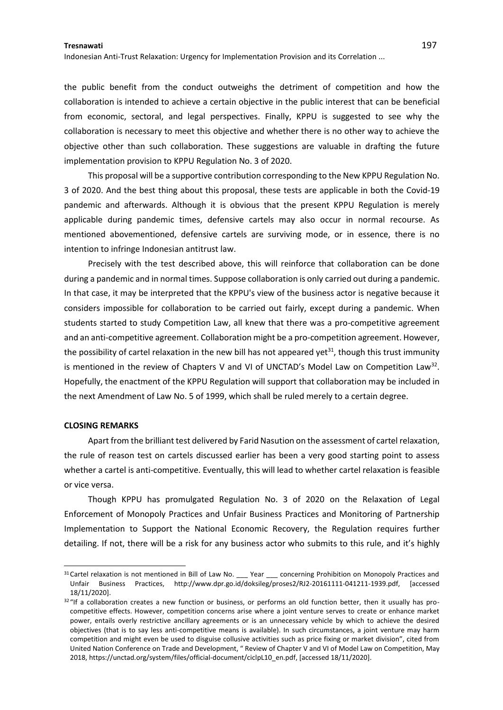Indonesian Anti-Trust Relaxation: Urgency for Implementation Provision and its Correlation ...

the public benefit from the conduct outweighs the detriment of competition and how the collaboration is intended to achieve a certain objective in the public interest that can be beneficial from economic, sectoral, and legal perspectives. Finally, KPPU is suggested to see why the collaboration is necessary to meet this objective and whether there is no other way to achieve the objective other than such collaboration. These suggestions are valuable in drafting the future implementation provision to KPPU Regulation No. 3 of 2020.

This proposal will be a supportive contribution corresponding to the New KPPU Regulation No. 3 of 2020. And the best thing about this proposal, these tests are applicable in both the Covid-19 pandemic and afterwards. Although it is obvious that the present KPPU Regulation is merely applicable during pandemic times, defensive cartels may also occur in normal recourse. As mentioned abovementioned, defensive cartels are surviving mode, or in essence, there is no intention to infringe Indonesian antitrust law.

Precisely with the test described above, this will reinforce that collaboration can be done during a pandemic and in normal times. Suppose collaboration is only carried out during a pandemic. In that case, it may be interpreted that the KPPU's view of the business actor is negative because it considers impossible for collaboration to be carried out fairly, except during a pandemic. When students started to study Competition Law, all knew that there was a pro-competitive agreement and an anti-competitive agreement. Collaboration might be a pro-competition agreement. However, the possibility of cartel relaxation in the new bill has not appeared yet<sup>31</sup>, though this trust immunity is mentioned in the review of Chapters V and VI of UNCTAD's Model Law on Competition Law<sup>32</sup>. Hopefully, the enactment of the KPPU Regulation will support that collaboration may be included in the next Amendment of Law No. 5 of 1999, which shall be ruled merely to a certain degree.

#### **CLOSING REMARKS**

Apart from the brilliant test delivered by Farid Nasution on the assessment of cartel relaxation, the rule of reason test on cartels discussed earlier has been a very good starting point to assess whether a cartel is anti-competitive. Eventually, this will lead to whether cartel relaxation is feasible or vice versa.

Though KPPU has promulgated Regulation No. 3 of 2020 on the Relaxation of Legal Enforcement of Monopoly Practices and Unfair Business Practices and Monitoring of Partnership Implementation to Support the National Economic Recovery, the Regulation requires further detailing. If not, there will be a risk for any business actor who submits to this rule, and it's highly

 $31$ Cartel relaxation is not mentioned in Bill of Law No.  $\_\_\$  Year  $\_\_\_\$  concerning Prohibition on Monopoly Practices and Unfair Business Practices, http://www.dpr.go.id/doksileg/proses2/RJ2-20161111-041211-1939.pdf, [accessed 18/11/2020].

 $32$  "If a collaboration creates a new function or business, or performs an old function better, then it usually has procompetitive effects. However, competition concerns arise where a joint venture serves to create or enhance market power, entails overly restrictive ancillary agreements or is an unnecessary vehicle by which to achieve the desired objectives (that is to say less anti-competitive means is available). In such circumstances, a joint venture may harm competition and might even be used to disguise collusive activities such as price fixing or market division", cited from United Nation Conference on Trade and Development, " Review of Chapter V and VI of Model Law on Competition, May 2018[, https://unctad.org/system/files/official-document/ciclpL10\\_en.pdf,](https://unctad.org/system/files/official-document/ciclpL10_en.pdf) [accessed 18/11/2020].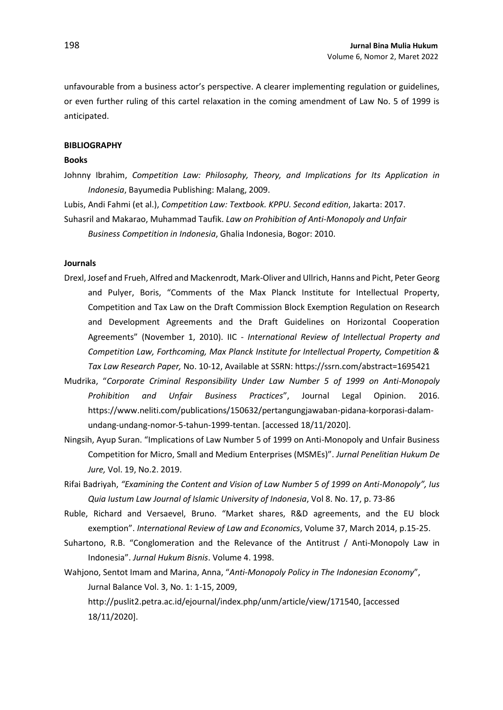unfavourable from a business actor's perspective. A clearer implementing regulation or guidelines, or even further ruling of this cartel relaxation in the coming amendment of Law No. 5 of 1999 is anticipated.

#### **BIBLIOGRAPHY**

## **Books**

Johnny Ibrahim, *Competition Law: Philosophy, Theory, and Implications for Its Application in Indonesia*, Bayumedia Publishing: Malang, 2009.

Lubis, Andi Fahmi (et al.), *Competition Law: Textbook. KPPU. Second edition*, Jakarta: 2017. Suhasril and Makarao, Muhammad Taufik. *Law on Prohibition of Anti-Monopoly and Unfair Business Competition in Indonesia*, Ghalia Indonesia, Bogor: 2010.

### **Journals**

- Drexl, Josef and Frueh, Alfred and Mackenrodt, Mark-Oliver and Ullrich, Hanns and Picht, Peter Georg and Pulyer, Boris, "Comments of the Max Planck Institute for Intellectual Property, Competition and Tax Law on the Draft Commission Block Exemption Regulation on Research and Development Agreements and the Draft Guidelines on Horizontal Cooperation Agreements" (November 1, 2010). IIC - *International Review of Intellectual Property and Competition Law, Forthcoming, Max Planck Institute for Intellectual Property, Competition & Tax Law Research Paper,* No. 10-12, Available at SSRN[: https://ssrn.com/abstract=1695421](https://ssrn.com/abstract=1695421)
- Mudrika, "*Corporate Criminal Responsibility Under Law Number 5 of 1999 on Anti-Monopoly Prohibition and Unfair Business Practices*", Journal Legal Opinion. 2016. [https://www.neliti.com/publications/150632/pertangungjawaban-pidana-korporasi-dalam](https://www.neliti.com/publications/150632/pertangungjawaban-pidana-korporasi-dalam-undang-undang-nomor-5-tahun-1999-tentan)[undang-undang-nomor-5-tahun-1999-tentan.](https://www.neliti.com/publications/150632/pertangungjawaban-pidana-korporasi-dalam-undang-undang-nomor-5-tahun-1999-tentan) [accessed 18/11/2020].
- Ningsih, Ayup Suran. "Implications of Law Number 5 of 1999 on Anti-Monopoly and Unfair Business Competition for Micro, Small and Medium Enterprises (MSMEs)". *Jurnal Penelitian Hukum De Jure,* Vol. 19, No.2. 2019.
- Rifai Badriyah, *"Examining the Content and Vision of Law Number 5 of 1999 on Anti-Monopoly", Ius Quia Iustum Law Journal of Islamic University of Indonesia*, Vol 8. No. 17, p. 73-86
- Ruble, Richard and Versaevel, Bruno. "Market shares, R&D agreements, and the EU block exemption". *International Review of Law and Economics*, Volume 37, March 2014, p.15-25.
- Suhartono, R.B. "Conglomeration and the Relevance of the Antitrust / Anti-Monopoly Law in Indonesia". *Jurnal Hukum Bisnis*. Volume 4. 1998.
- Wahjono, Sentot Imam and Marina, Anna, "*Anti-Monopoly Policy in The Indonesian Economy*", Jurnal Balance Vol. 3, No. 1: 1-15, 2009,

[http://puslit2.petra.ac.id/ejournal/index.php/unm/article/view/171540,](http://puslit2.petra.ac.id/ejournal/index.php/unm/article/view/171540) [accessed 18/11/2020].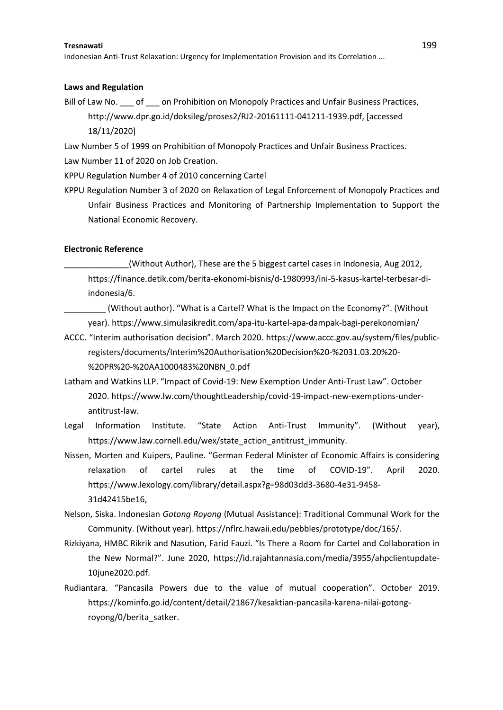Indonesian Anti-Trust Relaxation: Urgency for Implementation Provision and its Correlation ...

### **Laws and Regulation**

Bill of Law No. \_\_\_ of \_\_\_ on Prohibition on Monopoly Practices and Unfair Business Practices, http://www.dpr.go.id/doksileg/proses2/RJ2-20161111-041211-1939.pdf, [accessed 18/11/2020]

Law Number 5 of 1999 on Prohibition of Monopoly Practices and Unfair Business Practices. Law Number 11 of 2020 on Job Creation.

KPPU Regulation Number 4 of 2010 concerning Cartel

KPPU Regulation Number 3 of 2020 on Relaxation of Legal Enforcement of Monopoly Practices and Unfair Business Practices and Monitoring of Partnership Implementation to Support the National Economic Recovery.

### **Electronic Reference**

(Without Author), These are the 5 biggest cartel cases in Indonesia, Aug 2012, [https://finance.detik.com/berita-ekonomi-bisnis/d-1980993/ini-5-kasus-kartel-terbesar-di](https://finance.detik.com/berita-ekonomi-bisnis/d-1980993/ini-5-kasus-kartel-terbesar-di-indonesia/6)[indonesia/6.](https://finance.detik.com/berita-ekonomi-bisnis/d-1980993/ini-5-kasus-kartel-terbesar-di-indonesia/6)

\_\_\_\_\_\_\_\_\_ (Without author). "What is a Cartel? What is the Impact on the Economy?". (Without year)[. https://www.simulasikredit.com/apa-itu-kartel-apa-dampak-bagi-perekonomian/](https://www.simulasikredit.com/apa-itu-kartel-apa-dampak-bagi-perekonomian/)

- ACCC. "Interim authorisation decision". March 2020. [https://www.accc.gov.au/system/files/public](https://www.accc.gov.au/system/files/public-registers/documents/Interim%20Authorisation%20Decision%20-%2031.03.20%20-%20PR%20-%20AA1000483%20NBN_0.pdf)[registers/documents/Interim%20Authorisation%20Decision%20-%2031.03.20%20-](https://www.accc.gov.au/system/files/public-registers/documents/Interim%20Authorisation%20Decision%20-%2031.03.20%20-%20PR%20-%20AA1000483%20NBN_0.pdf) [%20PR%20-%20AA1000483%20NBN\\_0.pdf](https://www.accc.gov.au/system/files/public-registers/documents/Interim%20Authorisation%20Decision%20-%2031.03.20%20-%20PR%20-%20AA1000483%20NBN_0.pdf)
- Latham and Watkins LLP. "Impact of Covid-19: New Exemption Under Anti-Trust Law". October 2020. [https://www.lw.com/thoughtLeadership/covid-19-impact-new-exemptions-under](https://www.lw.com/thoughtLeadership/covid-19-impact-new-exemptions-under-antitrust-law)[antitrust-law.](https://www.lw.com/thoughtLeadership/covid-19-impact-new-exemptions-under-antitrust-law)
- Legal Information Institute. "State Action Anti-Trust Immunity". (Without year), [https://www.law.cornell.edu/wex/state\\_action\\_antitrust\\_immunity.](https://www.law.cornell.edu/wex/state_action_antitrust_immunity)
- Nissen, Morten and Kuipers, Pauline. "German Federal Minister of Economic Affairs is considering relaxation of cartel rules at the time of COVID-19". April 2020. [https://www.lexology.com/library/detail.aspx?g=98d03dd3-3680-4e31-9458-](https://www.lexology.com/library/detail.aspx?g=98d03dd3-3680-4e31-9458-31d42415be16) [31d42415be16,](https://www.lexology.com/library/detail.aspx?g=98d03dd3-3680-4e31-9458-31d42415be16)
- Nelson, Siska. Indonesian *Gotong Royong* (Mutual Assistance): Traditional Communal Work for the Community. (Without year). [https://nflrc.hawaii.edu/pebbles/prototype/doc/165/.](https://nflrc.hawaii.edu/pebbles/prototype/doc/165/)
- Rizkiyana, HMBC Rikrik and Nasution, Farid Fauzi. "Is There a Room for Cartel and Collaboration in the New Normal?". June 2020, [https://id.rajahtannasia.com/media/3955/ahpclientupdate-](https://id.rajahtannasia.com/media/3955/ahpclientupdate-10june2020.pdf)[10june2020.pdf.](https://id.rajahtannasia.com/media/3955/ahpclientupdate-10june2020.pdf)
- Rudiantara. "Pancasila Powers due to the value of mutual cooperation". October 2019. [https://kominfo.go.id/content/detail/21867/kesaktian-pancasila-karena-nilai-gotong](https://kominfo.go.id/content/detail/21867/kesaktian-pancasila-karena-nilai-gotong-royong/0/berita_satker)[royong/0/berita\\_satker.](https://kominfo.go.id/content/detail/21867/kesaktian-pancasila-karena-nilai-gotong-royong/0/berita_satker)